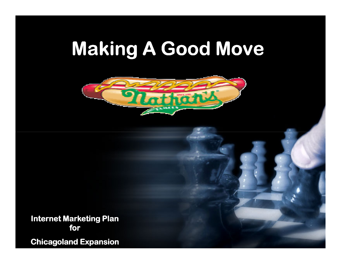# Making A Good Move



Internet Marketing Plan for

Chicagoland Expansion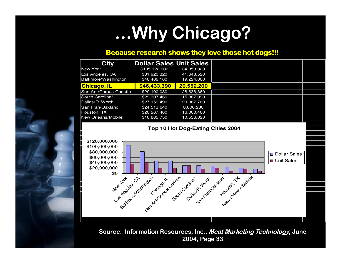## …Why Chicago? …

#### Because research shows they love those hot dogs!!!

| <b>City</b>             | Dollar Sales Unit Sales |            |  |  |  |
|-------------------------|-------------------------|------------|--|--|--|
| New York                | \$105,122,000           | 34,353,320 |  |  |  |
| Los Angeles, CA         | \$81,920,320            | 41,643,520 |  |  |  |
| Baltimore/Washington    | \$46,486,100            | 19,224,000 |  |  |  |
| <b>Chicago, IL</b>      | \$46,433,390            | 20,552,200 |  |  |  |
| San Ant/Corpus Christie | \$29,190,030            | 28,638,360 |  |  |  |
| South Carolina*         | \$29,307,460            | 15,367,990 |  |  |  |
| Dallas/Ft Worth         | \$27,156,490            | 20,067,760 |  |  |  |
| San Fran/Oakland        | \$24,513,640            | 8,800,280  |  |  |  |
| Houston, TX             | \$20,267,400            | 16,000,460 |  |  |  |
| New Orleans/Mobile      | \$16,885,750            | 10,536,820 |  |  |  |
|                         |                         |            |  |  |  |

**Top 10 Hot Dog-Eating Cities 2004**



Source: Information Resources, Inc., Meat Marketing Technology, June 2004, Page 33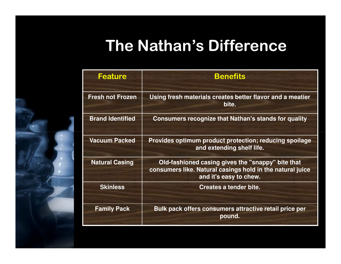### The Nathan's Difference

| <b>Feature</b>          | <b>Benefits</b>                                                                                                                          |
|-------------------------|------------------------------------------------------------------------------------------------------------------------------------------|
| <b>Fresh not Frozen</b> | Using fresh materials creates better flavor and a meatier<br>bite.                                                                       |
| <b>Brand Identified</b> | <b>Consumers recognize that Nathan's stands for quality</b>                                                                              |
| <b>Vacuum Packed</b>    | Provides optimum product protection; reducing spoilage<br>and extending shelf life.                                                      |
| <b>Natural Casing</b>   | Old-fashioned casing gives the "snappy" bite that<br>consumers like. Natural casings hold in the natural juice<br>and it's easy to chew. |
| <b>Skinless</b>         | Creates a tender bite.                                                                                                                   |
| <b>Family Pack</b>      | Bulk pack offers consumers attractive retail price per<br>pound.                                                                         |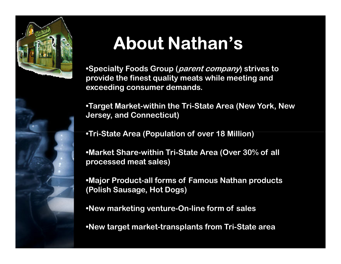

# About Nathan's

•Specialty Foods Group (parent company) strives to provide the finest quality meats while meeting and exceeding consumer demands.

•Target Market-within the Tri-State Area (New York, New Jersey, and Connecticut)

•Tri-State Area (Population of over 18 Million)

•Market Share-within Tri-State Area (Over 30% of all processed meat sales)

•Major Product-all forms of Famous Nathan products (Polish Sausage, Hot Dogs)

•New marketing venture-On-line form of sales

•New target market-transplants from Tri-State area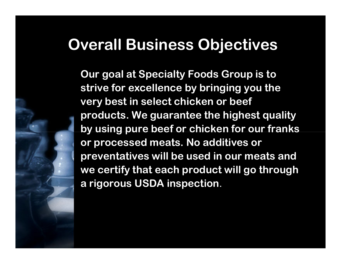#### Overall Business Objectives

Our goal at Specialty Foods Group is to strive for excellence by bringing you the very best in select chicken or beef products. We guarantee the highest quality by using pure beef or chicken for our franks or processed meats. No additives or preventatives will be used in our meats and we certify that each product will go through a rigorous USDA inspection.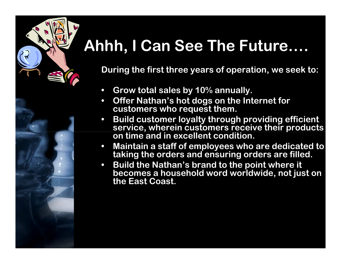### Ahhh, I Can See The Future….

During the first three years of operation, we seek to:

- $\bullet$ Grow total sales by 10% annually.
- $\bullet$  Offer Nathan's hot dogs on the Internet for customers who request them.
- $\bullet$  Build customer loyalty through providing efficient service, wherein customers receive their products on time and in excellent condition.
- $\bullet$  Maintain a staff of employees who are dedicated to taking the orders and ensuring orders are filled.
- $\bullet$  Build the Nathan's brand to the point where it becomes a household word worldwide, not just on the East Coast.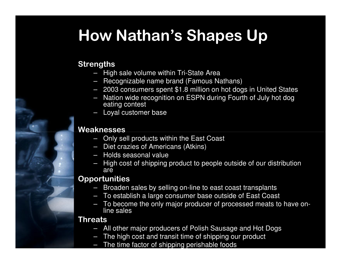#### How Nathan's Shapes Up

#### **Strengths**

- High sale volume within Tri-State Area
- Recognizable name brand (Famous Nathans)
- 2003 consumers spent \$1.8 million on hot dogs in United States
- Nation wide recognition on ESPN during Fourth of July hot dog eating contest
- –Loyal customer base

#### Weaknesses

- Only sell products within the East Coast
- Diet crazies of Americans (Atkins)
- Holds seasonal value
- High cost of shipping product to people outside of our distribution –are

#### Opportunities

- Broaden sales by selling on-line to east coast transplants
- To establish a large consumer base outside of East Coast
- To become the only major producer of processed meats to have online sales

#### **Threats**

- All other major producers of Polish Sausage and Hot Dogs
- –The high cost and transit time of shipping our product
- The time factor of shipping perishable foods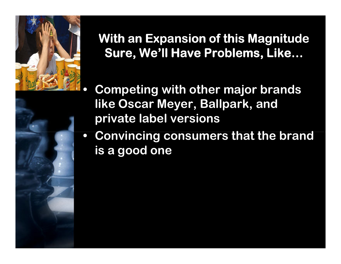

With an Expansion of this Magnitude Sure, We'll Have Problems, Like…

 Competing with other major brands like Oscar Meyer, Ballpark, and private label versions

 $\bullet$  Convincing consumers that the brand is a good one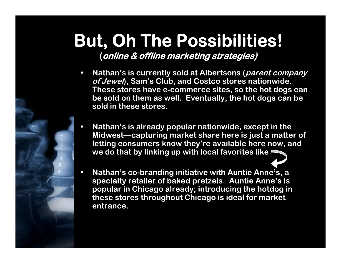# But, Oh The Possibilities!

(online & offline marketing strategies)

- $\bullet$ Nathan's is currently sold at Albertsons (parent company of Jewel, Sam's Club, and Costco stores nationwide. These stores have e-commerce sites, so the hot dogs can be sold on them as well. Eventually, the hot dogs can be sold in these stores.
- • Nathan's is already popular nationwide, except in the Midwest—capturing market share here is just a matter of letting consumers know they're available here now, and we do that by linking up with local favorites like
- • Nathan's co-branding initiative with Auntie Anne's, a specialty retailer of baked pretzels. Auntie Anne's is popular in Chicago already; introducing the hotdog in these stores throughout Chicago is ideal for marketentrance.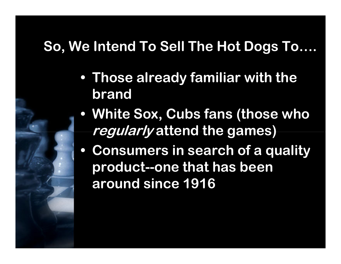#### So, We Intend To Sell The Hot Dogs To….

- Those already familiar with the brand
- White Sox, Cubs fans (those who regularly attend the games)
- Consumers in search of a quality product--one that has been around since 1916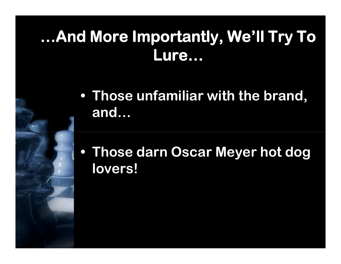### …And More Importantly, We'll Try To …And More Importantly, We'll Try To Lure…

- Those unfamiliar with the brand, and…
- Those darn Oscar Meyer hot dog lovers!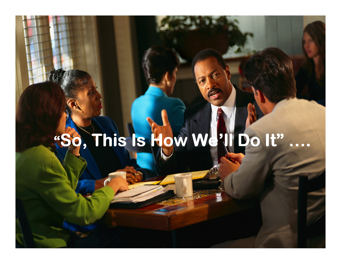# "So, This Is How We'll Do It" ….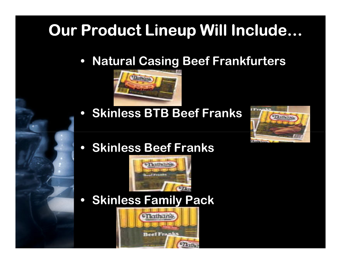#### Our Product Lineup Will Include…

 $\bullet$ Natural Casing Beef Frankfurters



• Skinless BTB Beef Franks



• Skinless Beef Franks



 $\bullet$ Skinless Family Pack

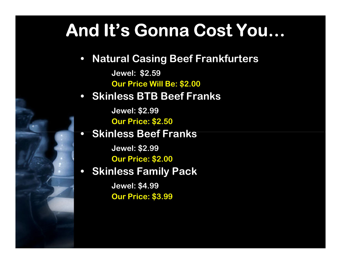### And It's Gonna Cost You…

 $\bullet$ Natural Casing Beef Frankfurters

> Jewel: \$2.59Our Price Will Be: \$2.00

#### • Skinless BTB Beef Franks

Jewel: \$2.99

Our Price: \$2.50

• Skinless Beef Franks  $\bullet$ 

> Jewel: \$2.99Our Price: \$2.00

• Skinless Family Pack

Jewel: \$4.99Our Price: \$3.99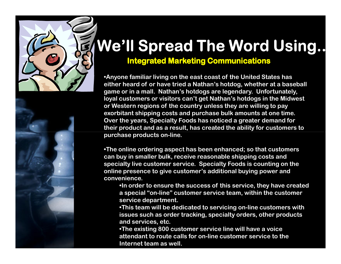

# We'll Spread The Word Using..

#### Integrated Marketing Communications

•Anyone familiar living on the east coast of the United States has either heard of or have tried a Nathan's hotdog, whether at a baseball game or in a mall. Nathan's hotdogs are legendary. Unfortunately, loyal customers or visitors can't get Nathan's hotdogs in the Midwest or Western regions of the country unless they are willing to pay exorbitant shipping costs and purchase bulk amounts at one time. Over the years, Specialty Foods has noticed a greater demand for their product and as a result, has created the ability for customers to purchase products on-line.

•The online ordering aspect has been enhanced; so that customers can buy in smaller bulk, receive reasonable shipping costs and specialty live customer service. Specialty Foods is counting on the online presence to give customer's additional buying power and convenience.

•In order to ensure the success of this service, they have created a special "on-line" customer service team, within the customer service department.

 •This team will be dedicated to servicing on-line customers with issues such as order tracking, specialty orders, other products and services, etc.

•The existing 800 customer service line will have a voice attendant to route calls for on-line customer service to the Internet team as well.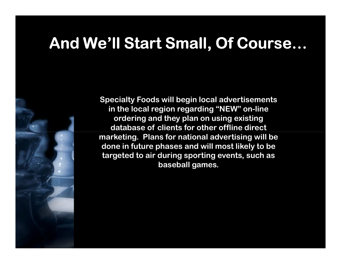#### And We'll Start Small, Of Course…

Specialty Foods will begin local advertisements in the local region regarding "NEW" on-line ordering and they plan on using existing database of clients for other offline direct marketing. Plans for national advertising will be done in future phases and will most likely to be targeted to air during sporting events, such as baseball games.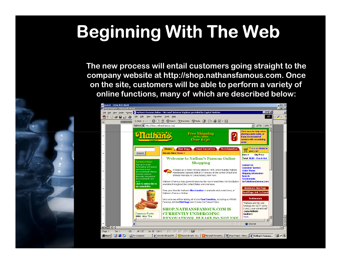# Beginning With The Web

The new process will entail customers going straight to the company website at http://shop.nathansfamous.com. Once on the site, customers will be able to perform a variety of online functions, many of which are described below:

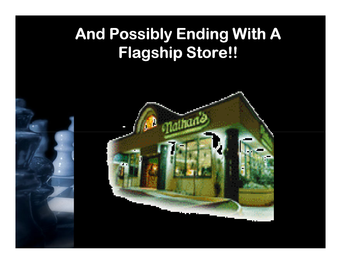### And Possibly Ending With A Flagship Store!!

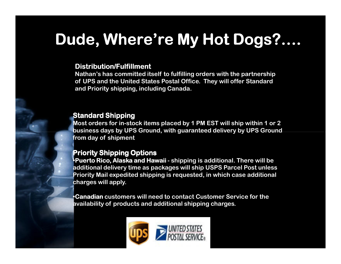### Dude, Where're My Hot Dogs?….

#### Distribution/Fulfillment

 Nathan's has committed itself to fulfilling orders with the partnership of UPS and the United States Postal Office. They will offer Standard and Priority shipping, including Canada.

#### Standard Shipping

 Most orders for in-stock items placed by 1 PM EST will ship within 1 or 2 business days by UPS Ground, with guaranteed delivery by UPS Ground from day of shipment

#### Priority Shipping Options

 $\bullet$ Puerto Rico, Alaska and Hawaii - shipping is additional. There will be additional delivery time as packages will ship USPS Parcel Post unless Priority Mail expedited shipping is requested, in which case additional charges will apply.

•Canadian customers will need to contact Customer Service for the  $\ddots$ availability of products and additional shipping charges.

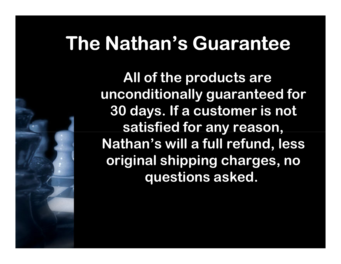## The Nathan's Guarantee

All of the products are unconditionally guaranteed for 30 days. If a customer is not satisfied for any reason, Nathan's will a full refund, less original shipping charges, no questions asked.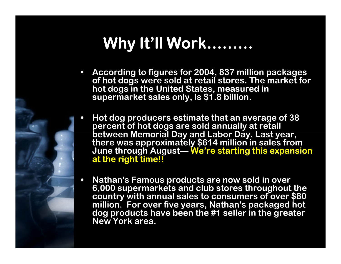### Why It'll Work………

- $\bullet$  According to figures for 2004, 837 million packages of hot dogs were sold at retail stores. The market for<br>hot dogs in the United States, measured in<br>supermarket sales only, is \$1.8 billion.
- $\bullet$  Hot dog producers estimate that an average of 38 percent of hot dogs are sold annually at retail<br>between Memorial Day and Labor Day. Last year,<br>there was approximately \$614 million in sales from<br>June through August— We're starting this expansion<br>at the right time!! at the right time!!
- $\bullet$ Nathan's Famous products are now sold in over<br>6,000 supermarkets and club stores throughout the 6,000 supermarkets and club stores throughout the country with annual sales to consumers of over \$80 million. For over five years, Nathan's packaged hot dog products have been the #1 seller in the greaterNew York area.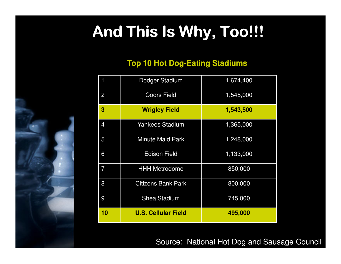## And This Is Why, Too!!!

#### **Top 10 Hot Dog Dog-Eating Stadiums Eating**

|                | Dodger Stadium             | 1,674,400 |  |  |
|----------------|----------------------------|-----------|--|--|
| $\overline{2}$ | <b>Coors Field</b>         | 1,545,000 |  |  |
| 3              | <b>Wrigley Field</b>       | 1,543,500 |  |  |
| 4              | <b>Yankees Stadium</b>     | 1,365,000 |  |  |
| 5              | <b>Minute Maid Park</b>    | 1,248,000 |  |  |
| 6              | <b>Edison Field</b>        | 1,133,000 |  |  |
| 7              | <b>HHH Metrodome</b>       | 850,000   |  |  |
| 8              | <b>Citizens Bank Park</b>  | 800,000   |  |  |
| 9              | <b>Shea Stadium</b>        | 745,000   |  |  |
| 10             | <b>U.S. Cellular Field</b> | 495,000   |  |  |

Source: National Hot Dog and Sausage Council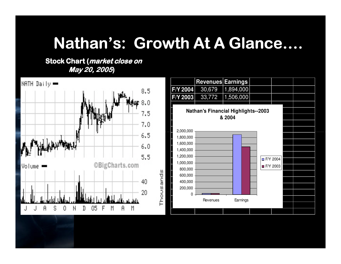#### Nathan's: Growth At A Glance….

Stock Chart (market close on May 20, 2005)